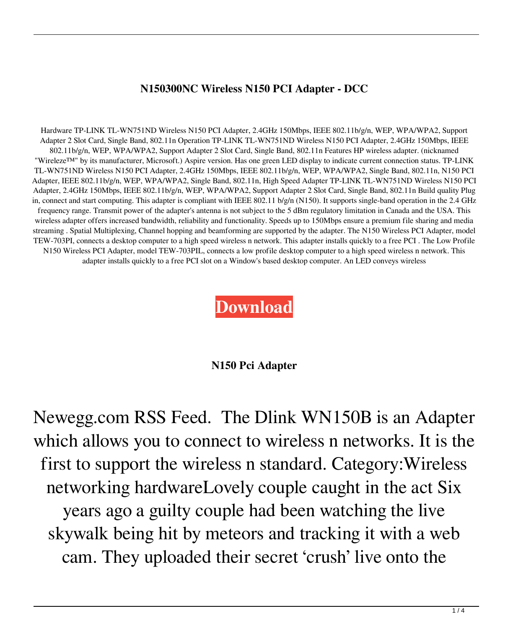## **N150300NC Wireless N150 PCI Adapter - DCC**

Hardware TP-LINK TL-WN751ND Wireless N150 PCI Adapter, 2.4GHz 150Mbps, IEEE 802.11b/g/n, WEP, WPA/WPA2, Support Adapter 2 Slot Card, Single Band, 802.11n Operation TP-LINK TL-WN751ND Wireless N150 PCI Adapter, 2.4GHz 150Mbps, IEEE 802.11b/g/n, WEP, WPA/WPA2, Support Adapter 2 Slot Card, Single Band, 802.11n Features HP wireless adapter. (nicknamed "Wireleze™" by its manufacturer, Microsoft.) Aspire version. Has one green LED display to indicate current connection status. TP-LINK TL-WN751ND Wireless N150 PCI Adapter, 2.4GHz 150Mbps, IEEE 802.11b/g/n, WEP, WPA/WPA2, Single Band, 802.11n, N150 PCI Adapter, IEEE 802.11b/g/n, WEP, WPA/WPA2, Single Band, 802.11n, High Speed Adapter TP-LINK TL-WN751ND Wireless N150 PCI Adapter, 2.4GHz 150Mbps, IEEE 802.11b/g/n, WEP, WPA/WPA2, Support Adapter 2 Slot Card, Single Band, 802.11n Build quality Plug in, connect and start computing. This adapter is compliant with IEEE 802.11 b/g/n (N150). It supports single-band operation in the 2.4 GHz frequency range. Transmit power of the adapter's antenna is not subject to the 5 dBm regulatory limitation in Canada and the USA. This wireless adapter offers increased bandwidth, reliability and functionality. Speeds up to 150Mbps ensure a premium file sharing and media streaming . Spatial Multiplexing, Channel hopping and beamforming are supported by the adapter. The N150 Wireless PCI Adapter, model TEW-703PI, connects a desktop computer to a high speed wireless n network. This adapter installs quickly to a free PCI . The Low Profile N150 Wireless PCI Adapter, model TEW-703PIL, connects a low profile desktop computer to a high speed wireless n network. This adapter installs quickly to a free PCI slot on a Window's based desktop computer. An LED conveys wireless

## **[Download](http://evacdir.com/?ZG93bmxvYWR8MktBWjNweE9YeDhNVFkxTlRnME1qazRNWHg4TWpVM05IeDhLRTBwSUhKbFlXUXRZbXh2WnlCYlJtRnpkQ0JIUlU1ZA&gothenburg=mottled&curses=olympic&binocular=bjE1MCBwY2kgYWRhcHRlcgbjE)**

## **N150 Pci Adapter**

Newegg.com RSS Feed. The Dlink WN150B is an Adapter which allows you to connect to wireless n networks. It is the first to support the wireless n standard. Category:Wireless networking hardwareLovely couple caught in the act Six years ago a guilty couple had been watching the live skywalk being hit by meteors and tracking it with a web cam. They uploaded their secret 'crush' live onto the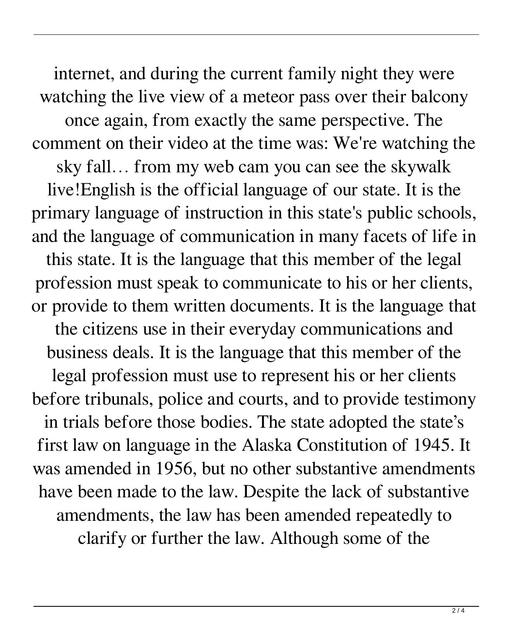internet, and during the current family night they were watching the live view of a meteor pass over their balcony once again, from exactly the same perspective. The comment on their video at the time was: We're watching the sky fall… from my web cam you can see the skywalk live!English is the official language of our state. It is the primary language of instruction in this state's public schools, and the language of communication in many facets of life in this state. It is the language that this member of the legal profession must speak to communicate to his or her clients, or provide to them written documents. It is the language that the citizens use in their everyday communications and business deals. It is the language that this member of the legal profession must use to represent his or her clients before tribunals, police and courts, and to provide testimony in trials before those bodies. The state adopted the state's first law on language in the Alaska Constitution of 1945. It was amended in 1956, but no other substantive amendments have been made to the law. Despite the lack of substantive amendments, the law has been amended repeatedly to clarify or further the law. Although some of the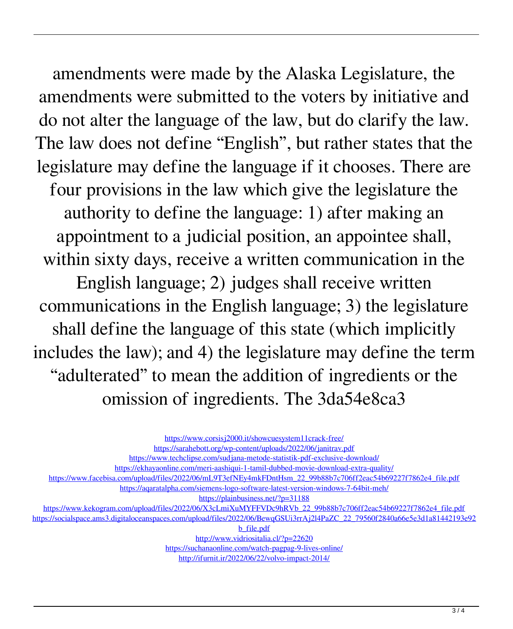amendments were made by the Alaska Legislature, the amendments were submitted to the voters by initiative and do not alter the language of the law, but do clarify the law. The law does not define "English", but rather states that the legislature may define the language if it chooses. There are four provisions in the law which give the legislature the authority to define the language: 1) after making an appointment to a judicial position, an appointee shall, within sixty days, receive a written communication in the English language; 2) judges shall receive written communications in the English language; 3) the legislature shall define the language of this state (which implicitly includes the law); and 4) the legislature may define the term "adulterated" to mean the addition of ingredients or the omission of ingredients. The 3da54e8ca3

<https://www.corsisj2000.it/showcuesystem11crack-free/>

<https://sarahebott.org/wp-content/uploads/2022/06/janitrav.pdf>

<https://www.techclipse.com/sudjana-metode-statistik-pdf-exclusive-download/>

<https://ekhayaonline.com/meri-aashiqui-1-tamil-dubbed-movie-download-extra-quality/>

[https://www.facebisa.com/upload/files/2022/06/mL9T3efNEy4mkFDntHsm\\_22\\_99b88b7c706ff2eac54b69227f7862e4\\_file.pdf](https://www.facebisa.com/upload/files/2022/06/mL9T3efNEy4mkFDntHsm_22_99b88b7c706ff2eac54b69227f7862e4_file.pdf)

<https://aqaratalpha.com/siemens-logo-software-latest-version-windows-7-64bit-meh/>

<https://plainbusiness.net/?p=31188>

[https://www.kekogram.com/upload/files/2022/06/X3cLmiXuMYFFVDc9hRVb\\_22\\_99b88b7c706ff2eac54b69227f7862e4\\_file.pdf](https://www.kekogram.com/upload/files/2022/06/X3cLmiXuMYFFVDc9hRVb_22_99b88b7c706ff2eac54b69227f7862e4_file.pdf) [https://socialspace.ams3.digitaloceanspaces.com/upload/files/2022/06/BewqGSUi3rrAj2l4PaZC\\_22\\_79560f2840a66e5e3d1a81442193e92](https://socialspace.ams3.digitaloceanspaces.com/upload/files/2022/06/BewqGSUi3rrAj2l4PaZC_22_79560f2840a66e5e3d1a81442193e92b_file.pdf)

[b\\_file.pdf](https://socialspace.ams3.digitaloceanspaces.com/upload/files/2022/06/BewqGSUi3rrAj2l4PaZC_22_79560f2840a66e5e3d1a81442193e92b_file.pdf)

<http://www.vidriositalia.cl/?p=22620> <https://suchanaonline.com/watch-pagpag-9-lives-online/> <http://ifurnit.ir/2022/06/22/volvo-impact-2014/>